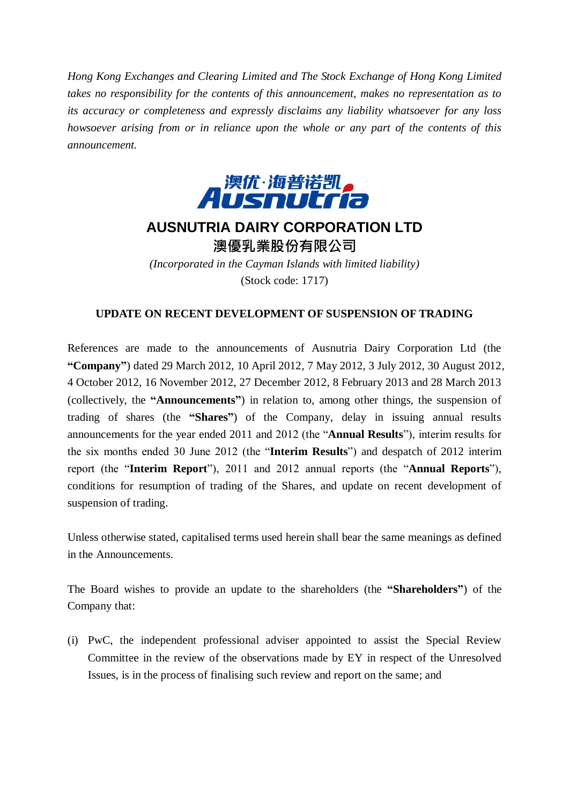*Hong Kong Exchanges and Clearing Limited and The Stock Exchange of Hong Kong Limited takes no responsibility for the contents of this announcement, makes no representation as to its accuracy or completeness and expressly disclaims any liability whatsoever for any loss howsoever arising from or in reliance upon the whole or any part of the contents of this announcement.*



## **AUSNUTRIA DAIRY CORPORATION LTD** 澳優乳業股份有限公司

*(Incorporated in the Cayman Islands with limited liability)* (Stock code: 1717)

## **UPDATE ON RECENT DEVELOPMENT OF SUSPENSION OF TRADING**

References are made to the announcements of Ausnutria Dairy Corporation Ltd (the **"Company"**) dated 29 March 2012, 10 April 2012, 7 May 2012, 3 July 2012, 30 August 2012, 4 October 2012, 16 November 2012, 27 December 2012, 8 February 2013 and 28 March 2013 (collectively, the **"Announcements"**) in relation to, among other things, the suspension of trading of shares (the **"Shares"**) of the Company, delay in issuing annual results announcements for the year ended 2011 and 2012 (the "**Annual Results**"), interim results for the six months ended 30 June 2012 (the "**Interim Results**") and despatch of 2012 interim report (the "**Interim Report**"), 2011 and 2012 annual reports (the "**Annual Reports**"), conditions for resumption of trading of the Shares, and update on recent development of suspension of trading.

Unless otherwise stated, capitalised terms used herein shall bear the same meanings as defined in the Announcements.

The Board wishes to provide an update to the shareholders (the **"Shareholders"**) of the Company that:

(i) PwC, the independent professional adviser appointed to assist the Special Review Committee in the review of the observations made by EY in respect of the Unresolved Issues, is in the process of finalising such review and report on the same; and